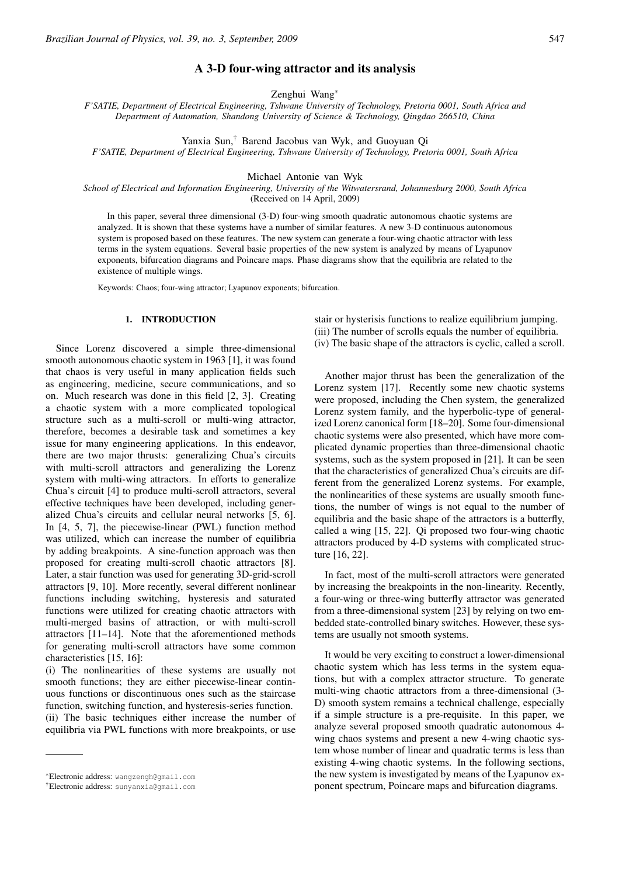# A 3-D four-wing attractor and its analysis

Zenghui Wang∗

*F'SATIE, Department of Electrical Engineering, Tshwane University of Technology, Pretoria 0001, South Africa and Department of Automation, Shandong University of Science & Technology, Qingdao 266510, China*

Yanxia Sun,† Barend Jacobus van Wyk, and Guoyuan Qi

*F'SATIE, Department of Electrical Engineering, Tshwane University of Technology, Pretoria 0001, South Africa*

### Michael Antonie van Wyk

*School of Electrical and Information Engineering, University of the Witwatersrand, Johannesburg 2000, South Africa* (Received on 14 April, 2009)

In this paper, several three dimensional (3-D) four-wing smooth quadratic autonomous chaotic systems are analyzed. It is shown that these systems have a number of similar features. A new 3-D continuous autonomous system is proposed based on these features. The new system can generate a four-wing chaotic attractor with less terms in the system equations. Several basic properties of the new system is analyzed by means of Lyapunov exponents, bifurcation diagrams and Poincare maps. Phase diagrams show that the equilibria are related to the existence of multiple wings.

Keywords: Chaos; four-wing attractor; Lyapunov exponents; bifurcation.

## 1. INTRODUCTION

Since Lorenz discovered a simple three-dimensional smooth autonomous chaotic system in 1963 [1], it was found that chaos is very useful in many application fields such as engineering, medicine, secure communications, and so on. Much research was done in this field [2, 3]. Creating a chaotic system with a more complicated topological structure such as a multi-scroll or multi-wing attractor, therefore, becomes a desirable task and sometimes a key issue for many engineering applications. In this endeavor, there are two major thrusts: generalizing Chua's circuits with multi-scroll attractors and generalizing the Lorenz system with multi-wing attractors. In efforts to generalize Chua's circuit [4] to produce multi-scroll attractors, several effective techniques have been developed, including generalized Chua's circuits and cellular neural networks [5, 6]. In [4, 5, 7], the piecewise-linear (PWL) function method was utilized, which can increase the number of equilibria by adding breakpoints. A sine-function approach was then proposed for creating multi-scroll chaotic attractors [8]. Later, a stair function was used for generating 3D-grid-scroll attractors [9, 10]. More recently, several different nonlinear functions including switching, hysteresis and saturated functions were utilized for creating chaotic attractors with multi-merged basins of attraction, or with multi-scroll attractors [11–14]. Note that the aforementioned methods for generating multi-scroll attractors have some common characteristics [15, 16]:

(i) The nonlinearities of these systems are usually not smooth functions; they are either piecewise-linear continuous functions or discontinuous ones such as the staircase function, switching function, and hysteresis-series function. (ii) The basic techniques either increase the number of equilibria via PWL functions with more breakpoints, or use stair or hysterisis functions to realize equilibrium jumping. (iii) The number of scrolls equals the number of equilibria. (iv) The basic shape of the attractors is cyclic, called a scroll.

Another major thrust has been the generalization of the Lorenz system [17]. Recently some new chaotic systems were proposed, including the Chen system, the generalized Lorenz system family, and the hyperbolic-type of generalized Lorenz canonical form [18–20]. Some four-dimensional chaotic systems were also presented, which have more complicated dynamic properties than three-dimensional chaotic systems, such as the system proposed in [21]. It can be seen that the characteristics of generalized Chua's circuits are different from the generalized Lorenz systems. For example, the nonlinearities of these systems are usually smooth functions, the number of wings is not equal to the number of equilibria and the basic shape of the attractors is a butterfly, called a wing [15, 22]. Qi proposed two four-wing chaotic attractors produced by 4-D systems with complicated structure [16, 22].

In fact, most of the multi-scroll attractors were generated by increasing the breakpoints in the non-linearity. Recently, a four-wing or three-wing butterfly attractor was generated from a three-dimensional system [23] by relying on two embedded state-controlled binary switches. However, these systems are usually not smooth systems.

It would be very exciting to construct a lower-dimensional chaotic system which has less terms in the system equations, but with a complex attractor structure. To generate multi-wing chaotic attractors from a three-dimensional (3- D) smooth system remains a technical challenge, especially if a simple structure is a pre-requisite. In this paper, we analyze several proposed smooth quadratic autonomous 4 wing chaos systems and present a new 4-wing chaotic system whose number of linear and quadratic terms is less than existing 4-wing chaotic systems. In the following sections, the new system is investigated by means of the Lyapunov exponent spectrum, Poincare maps and bifurcation diagrams.

<sup>∗</sup>Electronic address: wangzengh@gmail.com

<sup>†</sup>Electronic address: sunyanxia@gmail.com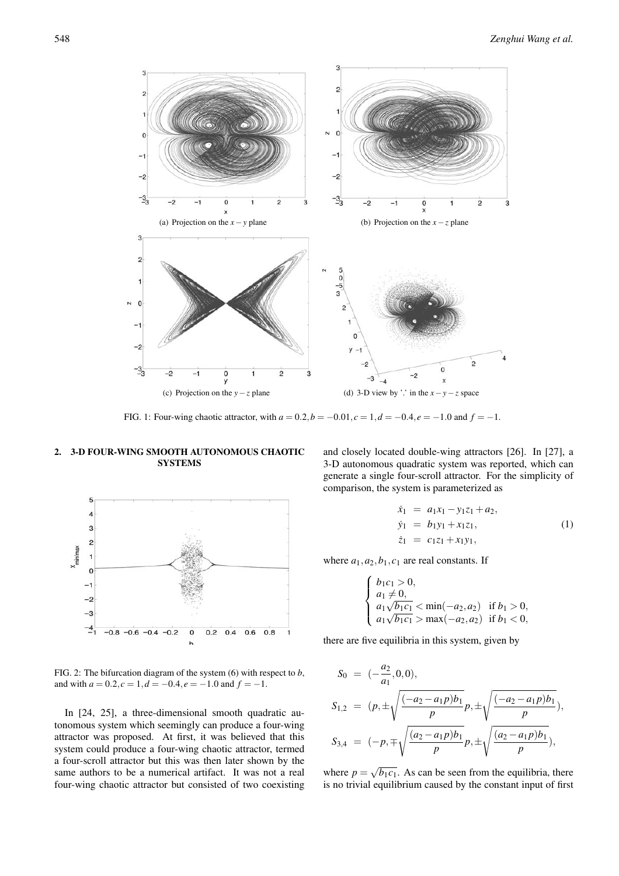

FIG. 1: Four-wing chaotic attractor, with  $a = 0.2$ ,  $b = -0.01$ ,  $c = 1$ ,  $d = -0.4$ ,  $e = -1.0$  and  $f = -1$ .

# 2. 3-D FOUR-WING SMOOTH AUTONOMOUS CHAOTIC SYSTEMS



FIG. 2: The bifurcation diagram of the system (6) with respect to *b*, and with  $a = 0.2$ ,  $c = 1$ ,  $d = -0.4$ ,  $e = -1.0$  and  $f = -1$ .

In [24, 25], a three-dimensional smooth quadratic autonomous system which seemingly can produce a four-wing attractor was proposed. At first, it was believed that this system could produce a four-wing chaotic attractor, termed a four-scroll attractor but this was then later shown by the same authors to be a numerical artifact. It was not a real four-wing chaotic attractor but consisted of two coexisting and closely located double-wing attractors [26]. In [27], a 3-D autonomous quadratic system was reported, which can generate a single four-scroll attractor. For the simplicity of comparison, the system is parameterized as

$$
\dot{x}_1 = a_1 x_1 - y_1 z_1 + a_2,\n\dot{y}_1 = b_1 y_1 + x_1 z_1,\n\dot{z}_1 = c_1 z_1 + x_1 y_1,
$$
\n(1)

where  $a_1$ ,  $a_2$ ,  $b_1$ ,  $c_1$  are real constants. If

$$
\begin{cases}\n b_1c_1 > 0, \\
 a_1 \neq 0, \\
 a_1\sqrt{b_1c_1} < \min(-a_2, a_2) & \text{if } b_1 > 0, \\
 a_1\sqrt{b_1c_1} > \max(-a_2, a_2) & \text{if } b_1 < 0,\n\end{cases}
$$

there are five equilibria in this system, given by

$$
S_0 = (-\frac{a_2}{a_1}, 0, 0),
$$
  
\n
$$
S_{1,2} = (p, \pm \sqrt{\frac{(-a_2 - a_1 p)b_1}{p}} p, \pm \sqrt{\frac{(-a_2 - a_1 p)b_1}{p}}),
$$
  
\n
$$
S_{3,4} = (-p, \mp \sqrt{\frac{(a_2 - a_1 p)b_1}{p}} p, \pm \sqrt{\frac{(a_2 - a_1 p)b_1}{p}}),
$$

where  $p = \sqrt{b_1 c_1}$ . As can be seen from the equilibria, there is no trivial equilibrium caused by the constant input of first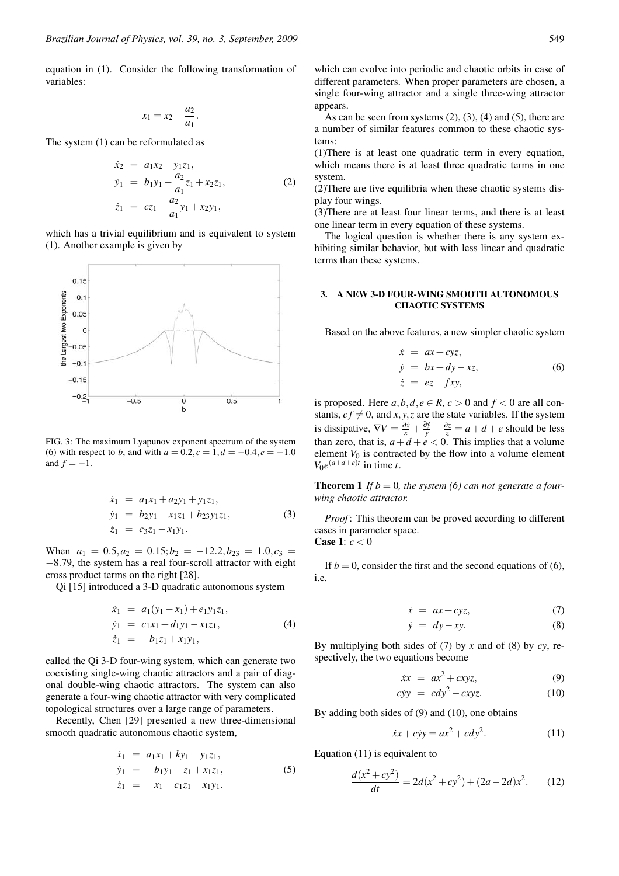equation in (1). Consider the following transformation of variables:

$$
x_1 = x_2 - \frac{a_2}{a_1}.
$$

The system (1) can be reformulated as

$$
\dot{x}_2 = a_1 x_2 - y_1 z_1,\n\dot{y}_1 = b_1 y_1 - \frac{a_2}{a_1} z_1 + x_2 z_1,\n\dot{z}_1 = c z_1 - \frac{a_2}{a_1} y_1 + x_2 y_1,
$$
\n(2)

which has a trivial equilibrium and is equivalent to system (1). Another example is given by



FIG. 3: The maximum Lyapunov exponent spectrum of the system (6) with respect to *b*, and with  $a = 0.2$ ,  $c = 1$ ,  $d = -0.4$ ,  $e = -1.0$ and  $f = -1$ .

$$
\dot{x}_1 = a_1x_1 + a_2y_1 + y_1z_1, \n\dot{y}_1 = b_2y_1 - x_1z_1 + b_2y_1z_1, \n\dot{z}_1 = c_3z_1 - x_1y_1.
$$
\n(3)

When  $a_1 = 0.5, a_2 = 0.15; b_2 = -12.2, b_{23} = 1.0, c_3 = 1$ −8.79, the system has a real four-scroll attractor with eight cross product terms on the right [28].

Qi [15] introduced a 3-D quadratic autonomous system

$$
\dot{x}_1 = a_1(y_1 - x_1) + e_1y_1z_1,\n\dot{y}_1 = c_1x_1 + d_1y_1 - x_1z_1,\n\dot{z}_1 = -b_1z_1 + x_1y_1,
$$
\n(4)

called the Qi 3-D four-wing system, which can generate two coexisting single-wing chaotic attractors and a pair of diagonal double-wing chaotic attractors. The system can also generate a four-wing chaotic attractor with very complicated topological structures over a large range of parameters.

Recently, Chen [29] presented a new three-dimensional smooth quadratic autonomous chaotic system,

$$
\dot{x}_1 = a_1x_1 + ky_1 - y_1z_1,\n\dot{y}_1 = -b_1y_1 - z_1 + x_1z_1,\n\dot{z}_1 = -x_1 - c_1z_1 + x_1y_1.
$$
\n(5)

which can evolve into periodic and chaotic orbits in case of different parameters. When proper parameters are chosen, a single four-wing attractor and a single three-wing attractor appears.

As can be seen from systems  $(2)$ ,  $(3)$ ,  $(4)$  and  $(5)$ , there are a number of similar features common to these chaotic systems:

(1)There is at least one quadratic term in every equation, which means there is at least three quadratic terms in one system.

(2)There are five equilibria when these chaotic systems display four wings.

(3)There are at least four linear terms, and there is at least one linear term in every equation of these systems.

The logical question is whether there is any system exhibiting similar behavior, but with less linear and quadratic terms than these systems.

## 3. A NEW 3-D FOUR-WING SMOOTH AUTONOMOUS CHAOTIC SYSTEMS

Based on the above features, a new simpler chaotic system

$$
\begin{aligned}\n\dot{x} &= ax + cyz, \\
\dot{y} &= bx + dy - xz, \\
\dot{z} &= ez + fxy,\n\end{aligned}
$$
\n(6)

is proposed. Here  $a, b, d, e \in R$ ,  $c > 0$  and  $f < 0$  are all constants,  $cf \neq 0$ , and *x*, *y*, *z* are the state variables. If the system is dissipative,  $\nabla V = \frac{\partial \dot{x}}{\partial x} + \frac{\partial \dot{y}}{\partial y} + \frac{\partial \dot{z}}{\partial z} = a + d + e$  should be less than zero, that is,  $a + d + e < 0$ . This implies that a volume element  $V_0$  is contracted by the flow into a volume element  $V_0e^{(a+d+e)t}$  in time *t*.

**Theorem 1** If  $b = 0$ , the system (6) can not generate a four*wing chaotic attractor.*

*Proof* : This theorem can be proved according to different cases in parameter space. Case 1: *c* < 0

If  $b = 0$ , consider the first and the second equations of (6), i.e.

$$
\dot{x} = ax + cyz, \tag{7}
$$

$$
\dot{y} = dy - xy. \tag{8}
$$

By multiplying both sides of (7) by *x* and of (8) by *cy*, respectively, the two equations become

$$
\dot{x}x = ax^2 + cxyz,\tag{9}
$$

$$
cyy = cdy^2 - cxyz.
$$
 (10)

By adding both sides of (9) and (10), one obtains

$$
\dot{x}x + c\dot{y}y = ax^2 + cdy^2. \tag{11}
$$

Equation (11) is equivalent to

$$
\frac{d(x^2+cy^2)}{dt} = 2d(x^2+cy^2) + (2a-2d)x^2.
$$
 (12)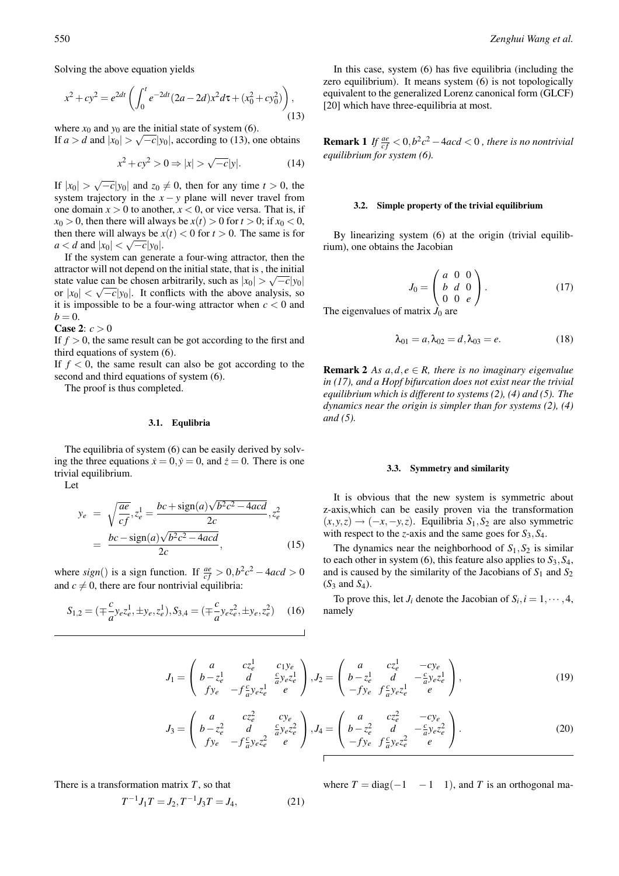Solving the above equation yields

$$
x^{2} + cy^{2} = e^{2dt} \left( \int_{0}^{t} e^{-2dt} (2a - 2d)x^{2} d\tau + (x_{0}^{2} + cy_{0}^{2}) \right),
$$
\n(13)

where  $x_0$  and  $y_0$  are the initial state of system (6). If  $a > d$  and  $|x_0| > \sqrt{-c}|y_0|$ , according to (13), one obtains

$$
x^2 + cy^2 > 0 \Rightarrow |x| > \sqrt{-c}|y|. \tag{14}
$$

If  $|x_0| > \sqrt{-c}|y_0|$  and  $z_0 \neq 0$ , then for any time  $t > 0$ , the system trajectory in the  $x - y$  plane will never travel from one domain  $x > 0$  to another,  $x < 0$ , or vice versa. That is, if  $x_0 > 0$ , then there will always be  $x(t) > 0$  for  $t > 0$ ; if  $x_0 < 0$ , then there will always be  $x(t) < 0$  for  $t > 0$ . The same is for *a* < *d* and  $|x_0|$  < √−*c*|*y*<sub>0</sub>|.

If the system can generate a four-wing attractor, then the attractor will not depend on the initial state, that is , the initial state value can be chosen arbitrarily, such as  $|x_0| > \sqrt{-c}|y_0|$ or  $|x_0| < \sqrt{-c}|y_0|$ . It conflicts with the above analysis, so it is impossible to be a four-wing attractor when  $c < 0$  and  $b = 0$ .

**Case 2:**  $c > 0$ 

If  $f > 0$ , the same result can be got according to the first and third equations of system (6).

If  $f < 0$ , the same result can also be got according to the second and third equations of system (6).

The proof is thus completed.

### 3.1. Equlibria

The equilibria of system (6) can be easily derived by solving the three equations  $\dot{x} = 0$ ,  $\dot{y} = 0$ , and  $\dot{z} = 0$ . There is one trivial equilibrium.

Let

$$
y_e = \sqrt{\frac{ae}{cf}}, z_e^1 = \frac{bc + sign(a)\sqrt{b^2c^2 - 4acd}}{2c}, z_e^2
$$
  
= 
$$
\frac{bc - sign(a)\sqrt{b^2c^2 - 4acd}}{2c},
$$
 (15)

where *sign*() is a sign function. If  $\frac{ae}{cf} > 0$ ,  $b^2c^2 - 4acd > 0$ and  $c \neq 0$ , there are four nontrivial equilibria:

$$
S_{1,2} = (\mp \frac{c}{a} y_e z_e^1, \pm y_e, z_e^1), S_{3,4} = (\mp \frac{c}{a} y_e z_e^2, \pm y_e, z_e^2) \quad (16)
$$

*J*<sup>1</sup> =

 $J_3$ 

In this case, system (6) has five equilibria (including the zero equilibrium). It means system (6) is not topologically equivalent to the generalized Lorenz canonical form (GLCF) [20] which have three-equilibria at most.

**Remark 1** *If*  $\frac{ae}{cf} < 0, b^2c^2 - 4acd < 0$ , there is no nontrivial *equilibrium for system (6).*

#### 3.2. Simple property of the trivial equilibrium

By linearizing system (6) at the origin (trivial equilibrium), one obtains the Jacobian

$$
J_0 = \begin{pmatrix} a & 0 & 0 \\ b & d & 0 \\ 0 & 0 & e \end{pmatrix} . \tag{17}
$$

The eigenvalues of matrix  $J_0$  are

$$
\lambda_{01} = a, \lambda_{02} = d, \lambda_{03} = e. \tag{18}
$$

**Remark 2** *As*  $a, d, e \in R$ , there is no imaginary eigenvalue *in (17), and a Hopf bifurcation does not exist near the trivial equilibrium which is different to systems (2), (4) and (5). The dynamics near the origin is simpler than for systems (2), (4) and (5).*

### 3.3. Symmetry and similarity

It is obvious that the new system is symmetric about z-axis,which can be easily proven via the transformation (*x*,*y*,*z*) → (−*x*,−*y*,*z*). Equilibria *S*1,*S*<sup>2</sup> are also symmetric with respect to the *z*-axis and the same goes for *S*3,*S*4.

The dynamics near the neighborhood of  $S_1, S_2$  is similar to each other in system (6), this feature also applies to  $S_3$ ,  $S_4$ , and is caused by the similarity of the Jacobians of  $S_1$  and  $S_2$ (*S*<sup>3</sup> and *S*4).

To prove this, let  $J_i$  denote the Jacobian of  $S_i$ ,  $i = 1, \dots, 4$ , namely

$$
V_1 = \begin{pmatrix} a & cz_e^1 & c_1 y_e \\ b - z_e^1 & d & \frac{c}{d} y_e z_e^1 \\ f y_e & -f \frac{c}{d} y_e z_e^1 & e \end{pmatrix}, J_2 = \begin{pmatrix} a & cz_e^1 & -cy_e \\ b - z_e^1 & d & -\frac{c}{d} y_e z_e^1 \\ -f y_e & f \frac{c}{d} y_e z_e^1 & e \end{pmatrix},
$$
(19)

$$
= \begin{pmatrix} a & cz_e^2 & cy_e \\ b - z_e^2 & d & \frac{c}{a} y_e z_e^2 \\ f y_e & -f \frac{c}{a} y_e z_e^2 & e \end{pmatrix}, J_4 = \begin{pmatrix} a & cz_e^2 & -cy_e \\ b - z_e^2 & d & -\frac{c}{a} y_e z_e^2 \\ -f y_e & f \frac{c}{a} y_e z_e^2 & e \end{pmatrix}.
$$
 (20)

There is a transformation matrix *T*, so that

$$
T^{-1}J_1T = J_2, T^{-1}J_3T = J_4,
$$
\n(21)

where  $T = diag(-1\ -1\ 1)$ , and *T* is an orthogonal ma-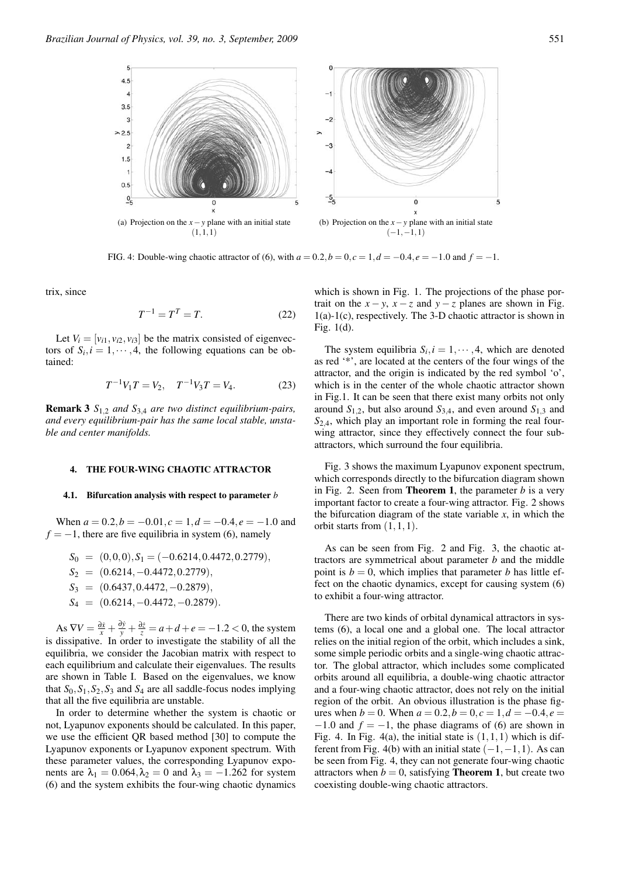

FIG. 4: Double-wing chaotic attractor of (6), with  $a = 0.2$ ,  $b = 0$ ,  $c = 1$ ,  $d = -0.4$ ,  $e = -1.0$  and  $f = -1$ .

trix, since

$$
T^{-1} = T^T = T. \tag{22}
$$

Let  $V_i = [v_{i1}, v_{i2}, v_{i3}]$  be the matrix consisted of eigenvectors of  $S_i$ ,  $i = 1, \dots, 4$ , the following equations can be obtained:

$$
T^{-1}V_1T = V_2, \quad T^{-1}V_3T = V_4. \tag{23}
$$

Remark 3 *S*1,<sup>2</sup> *and S*3,<sup>4</sup> *are two distinct equilibrium-pairs, and every equilibrium-pair has the same local stable, unstable and center manifolds.*

#### 4. THE FOUR-WING CHAOTIC ATTRACTOR

#### 4.1. Bifurcation analysis with respect to parameter *b*

When  $a = 0.2$ ,  $b = -0.01$ ,  $c = 1$ ,  $d = -0.4$ ,  $e = -1.0$  and  $f = -1$ , there are five equilibria in system (6), namely

$$
S_0 = (0,0,0), S_1 = (-0.6214, 0.4472, 0.2779),
$$
  
\n
$$
S_2 = (0.6214, -0.4472, 0.2779),
$$
  
\n
$$
S_3 = (0.6437, 0.4472, -0.2879),
$$
  
\n
$$
S_4 = (0.6214, -0.4472, -0.2879).
$$

As  $\nabla V = \frac{\partial \dot{x}}{\partial x} + \frac{\partial \dot{y}}{\partial y} + \frac{\partial \dot{z}}{\partial z} = a + d + e = -1.2 < 0$ , the system is dissipative. In order to investigate the stability of all the equilibria, we consider the Jacobian matrix with respect to each equilibrium and calculate their eigenvalues. The results are shown in Table I. Based on the eigenvalues, we know that  $S_0$ ,  $S_1$ ,  $S_2$ ,  $S_3$  and  $S_4$  are all saddle-focus nodes implying that all the five equilibria are unstable.

In order to determine whether the system is chaotic or not, Lyapunov exponents should be calculated. In this paper, we use the efficient QR based method [30] to compute the Lyapunov exponents or Lyapunov exponent spectrum. With these parameter values, the corresponding Lyapunov exponents are  $\lambda_1 = 0.064, \lambda_2 = 0$  and  $\lambda_3 = -1.262$  for system (6) and the system exhibits the four-wing chaotic dynamics which is shown in Fig. 1. The projections of the phase portrait on the  $x - y$ ,  $x - z$  and  $y - z$  planes are shown in Fig. 1(a)-1(c), respectively. The 3-D chaotic attractor is shown in Fig. 1(d).

The system equilibria  $S_i$ ,  $i = 1, \dots, 4$ , which are denoted as red '\*', are located at the centers of the four wings of the attractor, and the origin is indicated by the red symbol 'o', which is in the center of the whole chaotic attractor shown in Fig.1. It can be seen that there exist many orbits not only around  $S_{1,2}$ , but also around  $S_{3,4}$ , and even around  $S_{1,3}$  and *S*2,4, which play an important role in forming the real fourwing attractor, since they effectively connect the four subattractors, which surround the four equilibria.

Fig. 3 shows the maximum Lyapunov exponent spectrum, which corresponds directly to the bifurcation diagram shown in Fig. 2. Seen from Theorem 1, the parameter *b* is a very important factor to create a four-wing attractor. Fig. 2 shows the bifurcation diagram of the state variable  $x$ , in which the orbit starts from  $(1,1,1)$ .

As can be seen from Fig. 2 and Fig. 3, the chaotic attractors are symmetrical about parameter *b* and the middle point is  $b = 0$ , which implies that parameter *b* has little effect on the chaotic dynamics, except for causing system (6) to exhibit a four-wing attractor.

There are two kinds of orbital dynamical attractors in systems (6), a local one and a global one. The local attractor relies on the initial region of the orbit, which includes a sink, some simple periodic orbits and a single-wing chaotic attractor. The global attractor, which includes some complicated orbits around all equilibria, a double-wing chaotic attractor and a four-wing chaotic attractor, does not rely on the initial region of the orbit. An obvious illustration is the phase figures when  $b = 0$ . When  $a = 0.2$ ,  $b = 0$ ,  $c = 1$ ,  $d = -0.4$ ,  $e =$  $-1.0$  and  $f = -1$ , the phase diagrams of (6) are shown in Fig. 4. In Fig. 4(a), the initial state is  $(1,1,1)$  which is different from Fig. 4(b) with an initial state  $(-1,-1,1)$ . As can be seen from Fig. 4, they can not generate four-wing chaotic attractors when  $b = 0$ , satisfying **Theorem 1**, but create two coexisting double-wing chaotic attractors.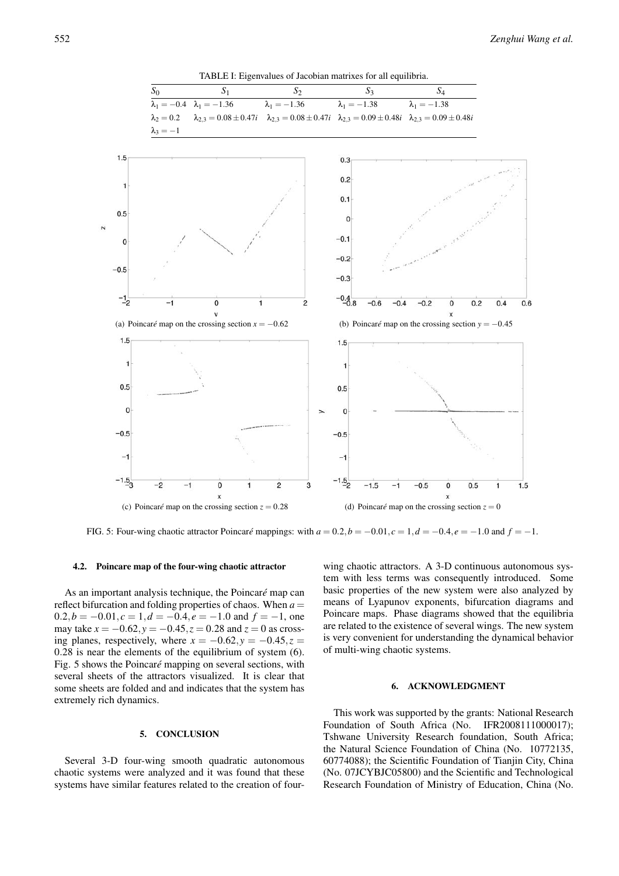

# 4.2. Poincare map of the four-wing chaotic attractor

As an important analysis technique, the Poincaré map can reflect bifurcation and folding properties of chaos. When *a* =  $0.2, b = -0.01, c = 1, d = -0.4, e = -1.0$  and  $f = -1$ , one may take *x* = −0.62,*y* = −0.45,*z* = 0.28 and *z* = 0 as crossing planes, respectively, where  $x = -0.62$ ,  $y = -0.45$ ,  $z =$ 0.28 is near the elements of the equilibrium of system (6). Fig. 5 shows the Poincaré mapping on several sections, with several sheets of the attractors visualized. It is clear that some sheets are folded and and indicates that the system has extremely rich dynamics.

# 5. CONCLUSION

Several 3-D four-wing smooth quadratic autonomous chaotic systems were analyzed and it was found that these systems have similar features related to the creation of four-

wing chaotic attractors. A 3-D continuous autonomous system with less terms was consequently introduced. Some basic properties of the new system were also analyzed by means of Lyapunov exponents, bifurcation diagrams and Poincare maps. Phase diagrams showed that the equilibria are related to the existence of several wings. The new system is very convenient for understanding the dynamical behavior of multi-wing chaotic systems.

## 6. ACKNOWLEDGMENT

This work was supported by the grants: National Research Foundation of South Africa (No. IFR2008111000017); Tshwane University Research foundation, South Africa; the Natural Science Foundation of China (No. 10772135, 60774088); the Scientific Foundation of Tianjin City, China (No. 07JCYBJC05800) and the Scientific and Technological Research Foundation of Ministry of Education, China (No.